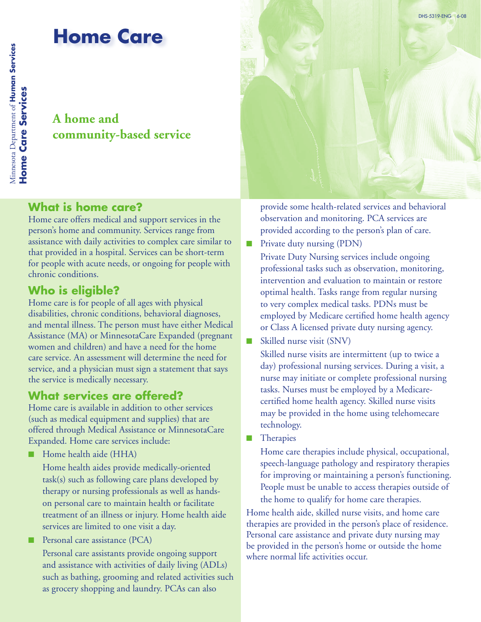## **A home and community-based service**

## **What is home care?**

Home care offers medical and support services in the person's home and community. Services range from assistance with daily activities to complex care similar to that provided in a hospital. Services can be short-term for people with acute needs, or ongoing for people with chronic conditions.

## **Who is eligible?**

Home care is for people of all ages with physical disabilities, chronic conditions, behavioral diagnoses, and mental illness. The person must have either Medical Assistance (MA) or MinnesotaCare Expanded (pregnant women and children) and have a need for the home care service. An assessment will determine the need for service, and a physician must sign a statement that says the service is medically necessary.

#### **What services are offered?**

Home care is available in addition to other services (such as medical equipment and supplies) that are offered through Medical Assistance or MinnesotaCare Expanded. Home care services include:

■ Home health aide (HHA)

Home health aides provide medically-oriented task(s) such as following care plans developed by therapy or nursing professionals as well as handson personal care to maintain health or facilitate treatment of an illness or injury. Home health aide services are limited to one visit a day.

■ Personal care assistance (PCA) Personal care assistants provide ongoing support and assistance with activities of daily living (ADLs) such as bathing, grooming and related activities such as grocery shopping and laundry. PCAs can also



provide some health-related services and behavioral observation and monitoring. PCA services are provided according to the person's plan of care.

- Private duty nursing (PDN) Private Duty Nursing services include ongoing professional tasks such as observation, monitoring, intervention and evaluation to maintain or restore optimal health. Tasks range from regular nursing to very complex medical tasks. PDNs must be employed by Medicare certified home health agency or Class A licensed private duty nursing agency.
- Skilled nurse visit (SNV)

Skilled nurse visits are intermittent (up to twice a day) professional nursing services. During a visit, a nurse may initiate or complete professional nursing tasks. Nurses must be employed by a Medicarecertified home health agency. Skilled nurse visits may be provided in the home using telehomecare technology.

■ Therapies

Home care therapies include physical, occupational, speech-language pathology and respiratory therapies for improving or maintaining a person's functioning. People must be unable to access therapies outside of the home to qualify for home care therapies.

Home health aide, skilled nurse visits, and home care therapies are provided in the person's place of residence. Personal care assistance and private duty nursing may be provided in the person's home or outside the home where normal life activities occur.